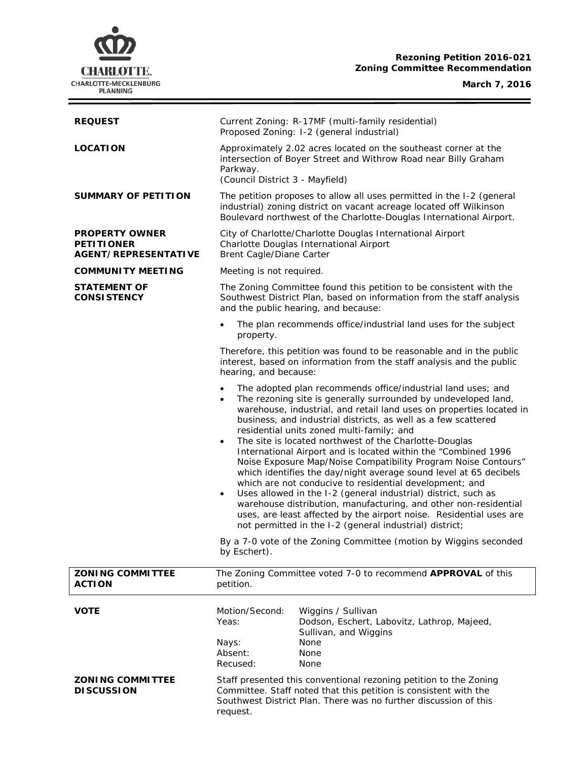# **CHARLOTTE.** CHARLOTTE-MECKLENBURG

# **Rezoning Petition 2016-021 Zoning Committee Recommendation**

## **March 7, 2016**

 $\equiv$ 

| <b>REQUEST</b>                                                     | Current Zoning: R-17MF (multi-family residential)<br>Proposed Zoning: I-2 (general industrial)                                                                                                                                                                                                                                                                                                                                                                                                                                                                                                                                                                                                                                                                                                                                                                                                                                                                                  |                                                                                                                                                                                     |
|--------------------------------------------------------------------|---------------------------------------------------------------------------------------------------------------------------------------------------------------------------------------------------------------------------------------------------------------------------------------------------------------------------------------------------------------------------------------------------------------------------------------------------------------------------------------------------------------------------------------------------------------------------------------------------------------------------------------------------------------------------------------------------------------------------------------------------------------------------------------------------------------------------------------------------------------------------------------------------------------------------------------------------------------------------------|-------------------------------------------------------------------------------------------------------------------------------------------------------------------------------------|
| <b>LOCATION</b>                                                    | Approximately 2.02 acres located on the southeast corner at the<br>intersection of Boyer Street and Withrow Road near Billy Graham<br>Parkway.<br>(Council District 3 - Mayfield)                                                                                                                                                                                                                                                                                                                                                                                                                                                                                                                                                                                                                                                                                                                                                                                               |                                                                                                                                                                                     |
| <b>SUMMARY OF PETITION</b>                                         | The petition proposes to allow all uses permitted in the I-2 (general<br>industrial) zoning district on vacant acreage located off Wilkinson<br>Boulevard northwest of the Charlotte-Douglas International Airport.                                                                                                                                                                                                                                                                                                                                                                                                                                                                                                                                                                                                                                                                                                                                                             |                                                                                                                                                                                     |
| <b>PROPERTY OWNER</b><br><b>PETITIONER</b><br>AGENT/REPRESENTATIVE | City of Charlotte/Charlotte Douglas International Airport<br>Charlotte Douglas International Airport<br>Brent Cagle/Diane Carter                                                                                                                                                                                                                                                                                                                                                                                                                                                                                                                                                                                                                                                                                                                                                                                                                                                |                                                                                                                                                                                     |
| <b>COMMUNITY MEETING</b>                                           | Meeting is not required.                                                                                                                                                                                                                                                                                                                                                                                                                                                                                                                                                                                                                                                                                                                                                                                                                                                                                                                                                        |                                                                                                                                                                                     |
| <b>STATEMENT OF</b><br><b>CONSISTENCY</b>                          |                                                                                                                                                                                                                                                                                                                                                                                                                                                                                                                                                                                                                                                                                                                                                                                                                                                                                                                                                                                 | The Zoning Committee found this petition to be consistent with the<br>Southwest District Plan, based on information from the staff analysis<br>and the public hearing, and because: |
|                                                                    | The plan recommends office/industrial land uses for the subject<br>$\bullet$<br>property.                                                                                                                                                                                                                                                                                                                                                                                                                                                                                                                                                                                                                                                                                                                                                                                                                                                                                       |                                                                                                                                                                                     |
|                                                                    | hearing, and because:                                                                                                                                                                                                                                                                                                                                                                                                                                                                                                                                                                                                                                                                                                                                                                                                                                                                                                                                                           | Therefore, this petition was found to be reasonable and in the public<br>interest, based on information from the staff analysis and the public                                      |
|                                                                    | The adopted plan recommends office/industrial land uses; and<br>$\bullet$<br>The rezoning site is generally surrounded by undeveloped land,<br>$\bullet$<br>warehouse, industrial, and retail land uses on properties located in<br>business, and industrial districts, as well as a few scattered<br>residential units zoned multi-family; and<br>The site is located northwest of the Charlotte-Douglas<br>$\bullet$<br>International Airport and is located within the "Combined 1996<br>Noise Exposure Map/Noise Compatibility Program Noise Contours"<br>which identifies the day/night average sound level at 65 decibels<br>which are not conducive to residential development; and<br>Uses allowed in the I-2 (general industrial) district, such as<br>$\bullet$<br>warehouse distribution, manufacturing, and other non-residential<br>uses, are least affected by the airport noise. Residential uses are<br>not permitted in the I-2 (general industrial) district; |                                                                                                                                                                                     |
|                                                                    | By a 7-0 vote of the Zoning Committee (motion by Wiggins seconded<br>by Eschert).                                                                                                                                                                                                                                                                                                                                                                                                                                                                                                                                                                                                                                                                                                                                                                                                                                                                                               |                                                                                                                                                                                     |
| <b>ZONING COMMITTEE</b><br><b>ACTION</b>                           | petition.                                                                                                                                                                                                                                                                                                                                                                                                                                                                                                                                                                                                                                                                                                                                                                                                                                                                                                                                                                       | The Zoning Committee voted 7-0 to recommend APPROVAL of this                                                                                                                        |
| <b>VOTE</b>                                                        | Motion/Second:<br>Yeas:<br>Nays:<br>Absent:<br>Recused:                                                                                                                                                                                                                                                                                                                                                                                                                                                                                                                                                                                                                                                                                                                                                                                                                                                                                                                         | Wiggins / Sullivan<br>Dodson, Eschert, Labovitz, Lathrop, Majeed,<br>Sullivan, and Wiggins<br>None<br>None<br>None                                                                  |
| <b>ZONING COMMITTEE</b><br><b>DISCUSSION</b>                       | Staff presented this conventional rezoning petition to the Zoning<br>Committee. Staff noted that this petition is consistent with the<br>Southwest District Plan. There was no further discussion of this<br>request.                                                                                                                                                                                                                                                                                                                                                                                                                                                                                                                                                                                                                                                                                                                                                           |                                                                                                                                                                                     |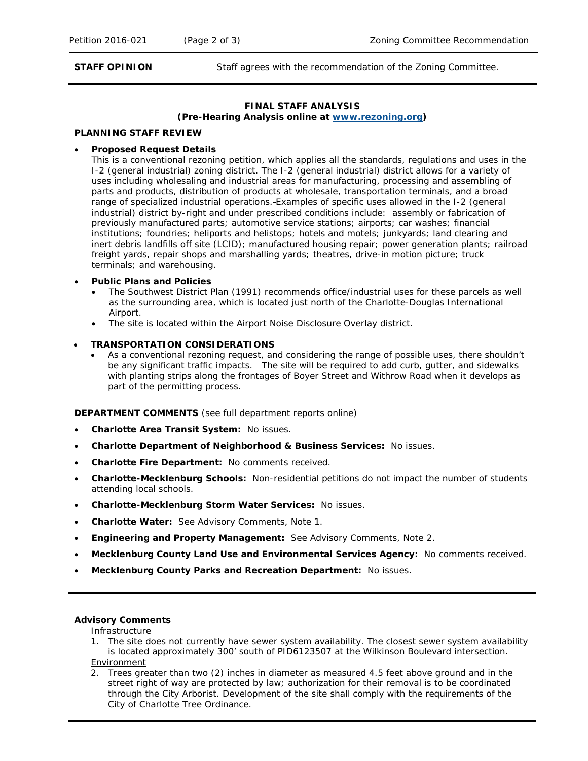**STAFF OPINION** Staff agrees with the recommendation of the Zoning Committee.

# **FINAL STAFF ANALYSIS**

**(Pre-Hearing Analysis online at [www.rezoning.org\)](http://www.rezoning.org/)** 

#### **PLANNING STAFF REVIEW**

#### • **Proposed Request Details**

This is a conventional rezoning petition, which applies all the standards, regulations and uses in the I-2 (general industrial) zoning district. The I-2 (general industrial) district allows for a variety of uses including wholesaling and industrial areas for manufacturing, processing and assembling of parts and products, distribution of products at wholesale, transportation terminals, and a broad range of specialized industrial operations. Examples of specific uses allowed in the I-2 (general industrial) district by-right and under prescribed conditions include: assembly or fabrication of previously manufactured parts; automotive service stations; airports; car washes; financial institutions; foundries; heliports and helistops; hotels and motels; junkyards; land clearing and inert debris landfills off site (LCID); manufactured housing repair; power generation plants; railroad freight yards, repair shops and marshalling yards; theatres, drive-in motion picture; truck terminals; and warehousing.

#### • **Public Plans and Policies**

- The *Southwest District Plan* (1991) recommends office/industrial uses for these parcels as well as the surrounding area, which is located just north of the Charlotte-Douglas International Airport.
- The site is located within the Airport Noise Disclosure Overlay district.

#### • **TRANSPORTATION CONSIDERATIONS**

• As a conventional rezoning request, and considering the range of possible uses, there shouldn't be any significant traffic impacts. The site will be required to add curb, gutter, and sidewalks with planting strips along the frontages of Boyer Street and Withrow Road when it develops as part of the permitting process.

**DEPARTMENT COMMENTS** (see full department reports online)

- **Charlotte Area Transit System:** No issues.
- **Charlotte Department of Neighborhood & Business Services:** No issues.
- **Charlotte Fire Department:** No comments received.
- **Charlotte-Mecklenburg Schools:** Non-residential petitions do not impact the number of students attending local schools.
- **Charlotte-Mecklenburg Storm Water Services:** No issues.
- **Charlotte Water:** See Advisory Comments, Note 1.
- **Engineering and Property Management:** See Advisory Comments, Note 2.
- **Mecklenburg County Land Use and Environmental Services Agency:** No comments received.
- **Mecklenburg County Parks and Recreation Department:** No issues.

### **Advisory Comments**

**Infrastructure** 

- 1. The site does not currently have sewer system availability. The closest sewer system availability is located approximately 300' south of PID6123507 at the Wilkinson Boulevard intersection. Environment
- 2. Trees greater than two (2) inches in diameter as measured 4.5 feet above ground and in the street right of way are protected by law; authorization for their removal is to be coordinated through the City Arborist. Development of the site shall comply with the requirements of the City of Charlotte Tree Ordinance.